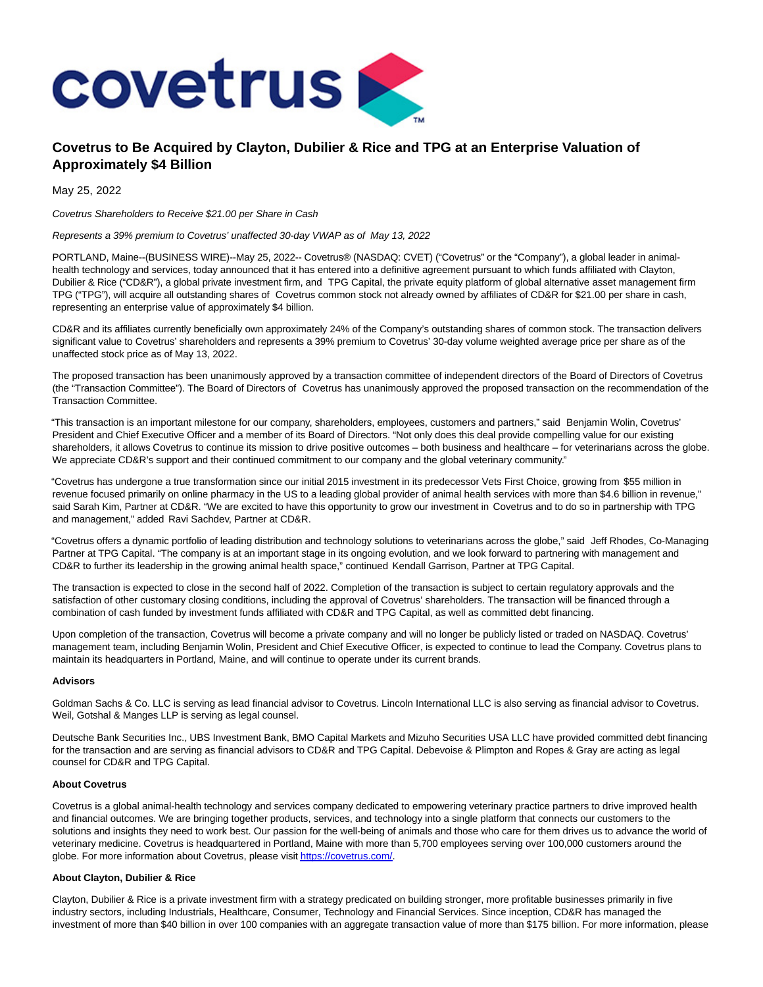

# **Covetrus to Be Acquired by Clayton, Dubilier & Rice and TPG at an Enterprise Valuation of Approximately \$4 Billion**

May 25, 2022

Covetrus Shareholders to Receive \$21.00 per Share in Cash

Represents a 39% premium to Covetrus' unaffected 30-day VWAP as of May 13, 2022

PORTLAND, Maine--(BUSINESS WIRE)--May 25, 2022-- Covetrus® (NASDAQ: CVET) ("Covetrus" or the "Company"), a global leader in animalhealth technology and services, today announced that it has entered into a definitive agreement pursuant to which funds affiliated with Clayton, Dubilier & Rice ("CD&R"), a global private investment firm, and TPG Capital, the private equity platform of global alternative asset management firm TPG ("TPG"), will acquire all outstanding shares of Covetrus common stock not already owned by affiliates of CD&R for \$21.00 per share in cash, representing an enterprise value of approximately \$4 billion.

CD&R and its affiliates currently beneficially own approximately 24% of the Company's outstanding shares of common stock. The transaction delivers significant value to Covetrus' shareholders and represents a 39% premium to Covetrus' 30-day volume weighted average price per share as of the unaffected stock price as of May 13, 2022.

The proposed transaction has been unanimously approved by a transaction committee of independent directors of the Board of Directors of Covetrus (the "Transaction Committee"). The Board of Directors of Covetrus has unanimously approved the proposed transaction on the recommendation of the Transaction Committee.

"This transaction is an important milestone for our company, shareholders, employees, customers and partners," said Benjamin Wolin, Covetrus' President and Chief Executive Officer and a member of its Board of Directors. "Not only does this deal provide compelling value for our existing shareholders, it allows Covetrus to continue its mission to drive positive outcomes – both business and healthcare – for veterinarians across the globe. We appreciate CD&R's support and their continued commitment to our company and the global veterinary community."

"Covetrus has undergone a true transformation since our initial 2015 investment in its predecessor Vets First Choice, growing from \$55 million in revenue focused primarily on online pharmacy in the US to a leading global provider of animal health services with more than \$4.6 billion in revenue," said Sarah Kim, Partner at CD&R. "We are excited to have this opportunity to grow our investment in Covetrus and to do so in partnership with TPG and management," added Ravi Sachdev, Partner at CD&R.

"Covetrus offers a dynamic portfolio of leading distribution and technology solutions to veterinarians across the globe," said Jeff Rhodes, Co-Managing Partner at TPG Capital. "The company is at an important stage in its ongoing evolution, and we look forward to partnering with management and CD&R to further its leadership in the growing animal health space," continued Kendall Garrison, Partner at TPG Capital.

The transaction is expected to close in the second half of 2022. Completion of the transaction is subject to certain regulatory approvals and the satisfaction of other customary closing conditions, including the approval of Covetrus' shareholders. The transaction will be financed through a combination of cash funded by investment funds affiliated with CD&R and TPG Capital, as well as committed debt financing.

Upon completion of the transaction, Covetrus will become a private company and will no longer be publicly listed or traded on NASDAQ. Covetrus' management team, including Benjamin Wolin, President and Chief Executive Officer, is expected to continue to lead the Company. Covetrus plans to maintain its headquarters in Portland, Maine, and will continue to operate under its current brands.

## **Advisors**

Goldman Sachs & Co. LLC is serving as lead financial advisor to Covetrus. Lincoln International LLC is also serving as financial advisor to Covetrus. Weil, Gotshal & Manges LLP is serving as legal counsel.

Deutsche Bank Securities Inc., UBS Investment Bank, BMO Capital Markets and Mizuho Securities USA LLC have provided committed debt financing for the transaction and are serving as financial advisors to CD&R and TPG Capital. Debevoise & Plimpton and Ropes & Gray are acting as legal counsel for CD&R and TPG Capital.

#### **About Covetrus**

Covetrus is a global animal-health technology and services company dedicated to empowering veterinary practice partners to drive improved health and financial outcomes. We are bringing together products, services, and technology into a single platform that connects our customers to the solutions and insights they need to work best. Our passion for the well-being of animals and those who care for them drives us to advance the world of veterinary medicine. Covetrus is headquartered in Portland, Maine with more than 5,700 employees serving over 100,000 customers around the globe. For more information about Covetrus, please visi[t https://covetrus.com/.](https://cts.businesswire.com/ct/CT?id=smartlink&url=https%3A%2F%2Fcovetrus.com%2F&esheet=52730457&newsitemid=20220525005393&lan=en-US&anchor=https%3A%2F%2Fcovetrus.com%2F&index=1&md5=2ebf65f4c11d54dd3dfd979251584ef5)

## **About Clayton, Dubilier & Rice**

Clayton, Dubilier & Rice is a private investment firm with a strategy predicated on building stronger, more profitable businesses primarily in five industry sectors, including Industrials, Healthcare, Consumer, Technology and Financial Services. Since inception, CD&R has managed the investment of more than \$40 billion in over 100 companies with an aggregate transaction value of more than \$175 billion. For more information, please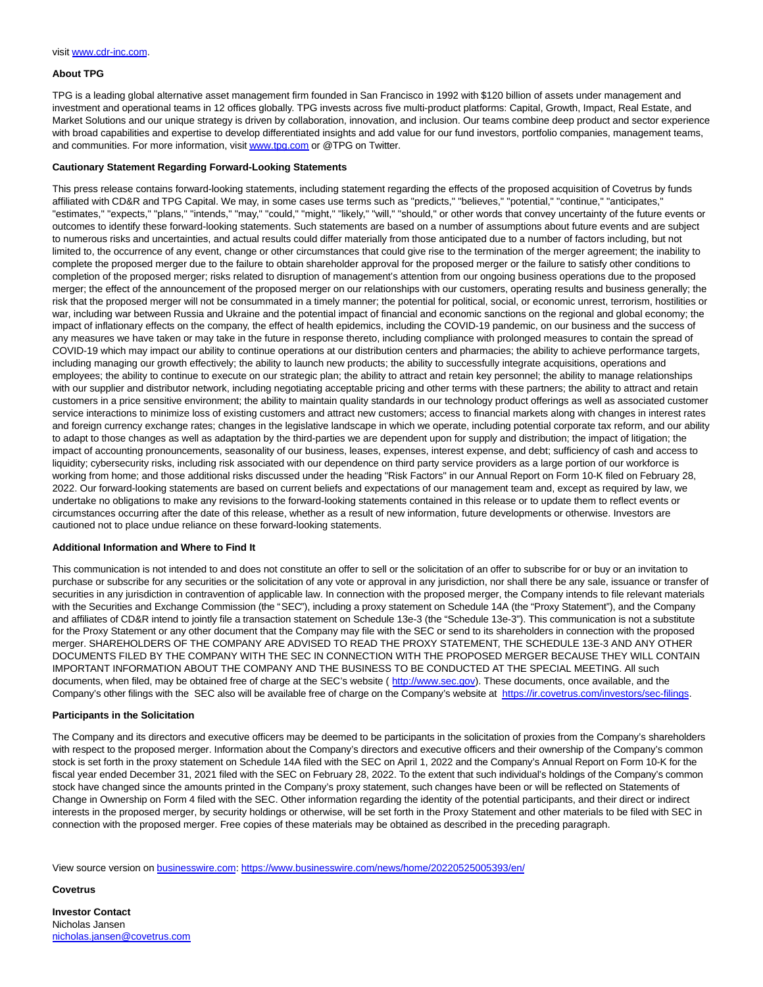#### **About TPG**

TPG is a leading global alternative asset management firm founded in San Francisco in 1992 with \$120 billion of assets under management and investment and operational teams in 12 offices globally. TPG invests across five multi-product platforms: Capital, Growth, Impact, Real Estate, and Market Solutions and our unique strategy is driven by collaboration, innovation, and inclusion. Our teams combine deep product and sector experience with broad capabilities and expertise to develop differentiated insights and add value for our fund investors, portfolio companies, management teams, and communities. For more information, visi[t www.tpg.com o](https://cts.businesswire.com/ct/CT?id=smartlink&url=http%3A%2F%2Fwww.tpg.com&esheet=52730457&newsitemid=20220525005393&lan=en-US&anchor=www.tpg.com&index=3&md5=15a8bc5f4b12559a6c021d47af5f9aee)r @TPG on Twitter.

#### **Cautionary Statement Regarding Forward-Looking Statements**

This press release contains forward-looking statements, including statement regarding the effects of the proposed acquisition of Covetrus by funds affiliated with CD&R and TPG Capital. We may, in some cases use terms such as "predicts," "believes," "potential," "continue," "anticipates," "estimates," "expects," "plans," "intends," "may," "could," "might," "likely," "will," "should," or other words that convey uncertainty of the future events or outcomes to identify these forward-looking statements. Such statements are based on a number of assumptions about future events and are subject to numerous risks and uncertainties, and actual results could differ materially from those anticipated due to a number of factors including, but not limited to, the occurrence of any event, change or other circumstances that could give rise to the termination of the merger agreement; the inability to complete the proposed merger due to the failure to obtain shareholder approval for the proposed merger or the failure to satisfy other conditions to completion of the proposed merger; risks related to disruption of management's attention from our ongoing business operations due to the proposed merger; the effect of the announcement of the proposed merger on our relationships with our customers, operating results and business generally; the risk that the proposed merger will not be consummated in a timely manner; the potential for political, social, or economic unrest, terrorism, hostilities or war, including war between Russia and Ukraine and the potential impact of financial and economic sanctions on the regional and global economy; the impact of inflationary effects on the company, the effect of health epidemics, including the COVID-19 pandemic, on our business and the success of any measures we have taken or may take in the future in response thereto, including compliance with prolonged measures to contain the spread of COVID-19 which may impact our ability to continue operations at our distribution centers and pharmacies; the ability to achieve performance targets, including managing our growth effectively; the ability to launch new products; the ability to successfully integrate acquisitions, operations and employees; the ability to continue to execute on our strategic plan; the ability to attract and retain key personnel; the ability to manage relationships with our supplier and distributor network, including negotiating acceptable pricing and other terms with these partners; the ability to attract and retain customers in a price sensitive environment; the ability to maintain quality standards in our technology product offerings as well as associated customer service interactions to minimize loss of existing customers and attract new customers; access to financial markets along with changes in interest rates and foreign currency exchange rates; changes in the legislative landscape in which we operate, including potential corporate tax reform, and our ability to adapt to those changes as well as adaptation by the third-parties we are dependent upon for supply and distribution; the impact of litigation; the impact of accounting pronouncements, seasonality of our business, leases, expenses, interest expense, and debt; sufficiency of cash and access to liquidity; cybersecurity risks, including risk associated with our dependence on third party service providers as a large portion of our workforce is working from home; and those additional risks discussed under the heading "Risk Factors" in our Annual Report on Form 10-K filed on February 28, 2022. Our forward-looking statements are based on current beliefs and expectations of our management team and, except as required by law, we undertake no obligations to make any revisions to the forward-looking statements contained in this release or to update them to reflect events or circumstances occurring after the date of this release, whether as a result of new information, future developments or otherwise. Investors are cautioned not to place undue reliance on these forward-looking statements.

### **Additional Information and Where to Find It**

This communication is not intended to and does not constitute an offer to sell or the solicitation of an offer to subscribe for or buy or an invitation to purchase or subscribe for any securities or the solicitation of any vote or approval in any jurisdiction, nor shall there be any sale, issuance or transfer of securities in any jurisdiction in contravention of applicable law. In connection with the proposed merger, the Company intends to file relevant materials with the Securities and Exchange Commission (the "SEC"), including a proxy statement on Schedule 14A (the "Proxy Statement"), and the Company and affiliates of CD&R intend to jointly file a transaction statement on Schedule 13e-3 (the "Schedule 13e-3"). This communication is not a substitute for the Proxy Statement or any other document that the Company may file with the SEC or send to its shareholders in connection with the proposed merger. SHAREHOLDERS OF THE COMPANY ARE ADVISED TO READ THE PROXY STATEMENT, THE SCHEDULE 13E-3 AND ANY OTHER DOCUMENTS FILED BY THE COMPANY WITH THE SEC IN CONNECTION WITH THE PROPOSED MERGER BECAUSE THEY WILL CONTAIN IMPORTANT INFORMATION ABOUT THE COMPANY AND THE BUSINESS TO BE CONDUCTED AT THE SPECIAL MEETING. All such documents, when filed, may be obtained free of charge at the SEC's website ([http://www.sec.gov\)](https://cts.businesswire.com/ct/CT?id=smartlink&url=http%3A%2F%2Fwww.sec.gov&esheet=52730457&newsitemid=20220525005393&lan=en-US&anchor=http%3A%2F%2Fwww.sec.gov&index=4&md5=1fefd516bd6227d46766ef54057558a8). These documents, once available, and the Company's other filings with the SEC also will be available free of charge on the Company's website at [https://ir.covetrus.com/investors/sec-filings.](https://cts.businesswire.com/ct/CT?id=smartlink&url=https%3A%2F%2Fir.covetrus.com%2Finvestors%2Fsec-filings&esheet=52730457&newsitemid=20220525005393&lan=en-US&anchor=https%3A%2F%2Fir.covetrus.com%2Finvestors%2Fsec-filings&index=5&md5=21df2b90394a7a3cfd67e418ad458422)

#### **Participants in the Solicitation**

The Company and its directors and executive officers may be deemed to be participants in the solicitation of proxies from the Company's shareholders with respect to the proposed merger. Information about the Company's directors and executive officers and their ownership of the Company's common stock is set forth in the proxy statement on Schedule 14A filed with the SEC on April 1, 2022 and the Company's Annual Report on Form 10-K for the fiscal year ended December 31, 2021 filed with the SEC on February 28, 2022. To the extent that such individual's holdings of the Company's common stock have changed since the amounts printed in the Company's proxy statement, such changes have been or will be reflected on Statements of Change in Ownership on Form 4 filed with the SEC. Other information regarding the identity of the potential participants, and their direct or indirect interests in the proposed merger, by security holdings or otherwise, will be set forth in the Proxy Statement and other materials to be filed with SEC in connection with the proposed merger. Free copies of these materials may be obtained as described in the preceding paragraph.

View source version on [businesswire.com:](http://businesswire.com/)<https://www.businesswire.com/news/home/20220525005393/en/>

**Covetrus**

**Investor Contact** Nicholas Jansen [nicholas.jansen@covetrus.com](mailto:nicholas.jansen@covetrus.com)